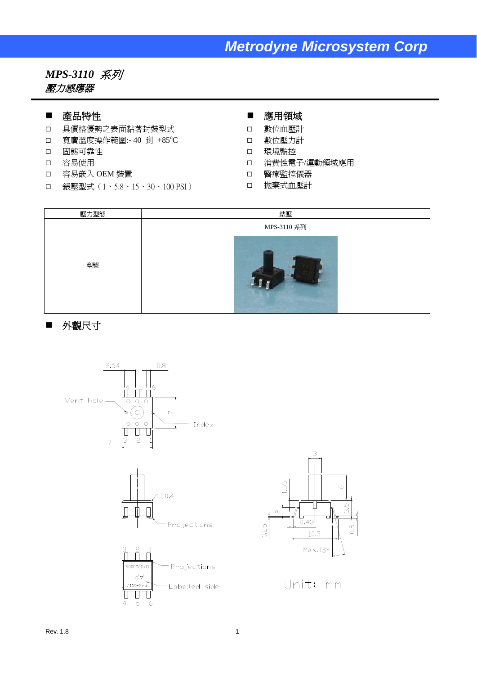## *Metrodyne Microsystem Corp*

### *MPS-3110* 系列 壓力感應器

#### ■ 產品特性

- 具價格優勢之表面黏著封裝型式
- □ 寬廣溫度操作範圍:-40 到 +85°C
- 固態可靠性
- 容易使用
- 容易嵌入 OEM 裝置
- □ 錶壓型式 (1、5.8、15、30、100 PSI)
- 應用領域
- 數位血壓計
- 數位壓力計
- 環境監控
- 消費性電子/運動領域應用
- 醫療監控儀器
- □ 拋棄式血壓計



### ■ 外觀尺寸





Unit: mm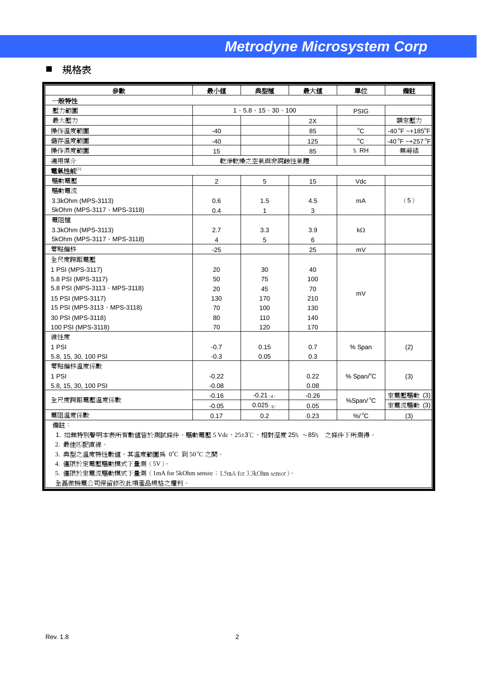### ■ 規格表

| 參數                            | 最小值                            | 典型植                                       | 最大値      | 單位                 | 備註                             |  |  |  |  |
|-------------------------------|--------------------------------|-------------------------------------------|----------|--------------------|--------------------------------|--|--|--|--|
| 一般特性                          |                                |                                           |          |                    |                                |  |  |  |  |
| 壓力範圍                          |                                | $1 \cdot 5.8 \cdot 15 \cdot 30 \cdot 100$ |          | <b>PSIG</b>        |                                |  |  |  |  |
| 最大壓力                          |                                |                                           | 2X       |                    | 額定壓力                           |  |  |  |  |
| 操作溫度範圍                        | $-40$                          |                                           | 85       | $^{\circ}$ C       | $-40^{\circ}F - +185^{\circ}F$ |  |  |  |  |
| 儲存溫度範圍                        | $-40$                          |                                           | 125      | $^{\circ}C$        | $-40^{\circ}F - +257^{\circ}F$ |  |  |  |  |
| 操作濕度範圍                        | 15                             |                                           | 85       | $%$ RH             | 無凝結                            |  |  |  |  |
| 適用媒介                          |                                | 乾淨乾燥之空氣與非腐蝕性氣體                            |          |                    |                                |  |  |  |  |
| 電氣性能(1)                       |                                |                                           |          |                    |                                |  |  |  |  |
| 驅動電壓                          | $\mathbf 2$                    | 5                                         | 15       | Vdc                |                                |  |  |  |  |
| 驅動電流                          |                                |                                           |          |                    |                                |  |  |  |  |
| 3.3kOhm (MPS-3113)            | 0.6                            | 1.5                                       | 4.5      | mA                 | (5)                            |  |  |  |  |
| 5kOhm (MPS-3117 \ MPS-3118)   | 0.4                            | $\mathbf{1}$                              | 3        |                    |                                |  |  |  |  |
| 電阻植                           |                                |                                           |          |                    |                                |  |  |  |  |
| 3.3kOhm (MPS-3113)            | 2.7                            | 3.3                                       | 3.9      | $k\Omega$          |                                |  |  |  |  |
| 5kOhm (MPS-3117 \ MPS-3118)   | $\overline{4}$                 | 5                                         | $\,6$    |                    |                                |  |  |  |  |
| 零點偏移                          | $-25$                          |                                           | 25       | mV                 |                                |  |  |  |  |
| 全尺度跨距電壓                       |                                |                                           |          |                    |                                |  |  |  |  |
| 1 PSI (MPS-3117)              | 20                             | 30                                        | 40       |                    |                                |  |  |  |  |
| 5.8 PSI (MPS-3117)            | 50                             | 75                                        | 100      |                    |                                |  |  |  |  |
| 5.8 PSI (MPS-3113 · MPS-3118) | 20                             | 45                                        | 70       | mV                 |                                |  |  |  |  |
| 15 PSI (MPS-3117)             | 130                            | 170                                       | 210      |                    |                                |  |  |  |  |
| 15 PSI (MPS-3113 · MPS-3118)  | 70                             | 100                                       | 130      |                    |                                |  |  |  |  |
| 30 PSI (MPS-3118)             | 80                             | 110                                       | 140      |                    |                                |  |  |  |  |
| 100 PSI (MPS-3118)            | 70                             | 120                                       | 170      |                    |                                |  |  |  |  |
| 線性度                           |                                |                                           |          |                    |                                |  |  |  |  |
| 1 PSI                         | $-0.7$                         | 0.15                                      | 0.7      | % Span             | (2)                            |  |  |  |  |
| 5.8, 15, 30, 100 PSI          | $-0.3$                         | 0.05                                      | 0.3      |                    |                                |  |  |  |  |
| 零點偏移溫度係數                      |                                |                                           |          |                    |                                |  |  |  |  |
| 1 PSI                         | $-0.22$                        |                                           | 0.22     | % Span/°C          | (3)                            |  |  |  |  |
| 5.8, 15, 30, 100 PSI          | $-0.08$                        |                                           | 0.08     |                    |                                |  |  |  |  |
|                               | $-0.16$                        | $-0.21(4)$                                | $-0.26$  |                    | 定電壓驅動 (3)                      |  |  |  |  |
| 全尺度跨距電壓溫度係數                   | $0.025$ (5)<br>$-0.05$<br>0.05 |                                           | %Span/°C | 定電流驅動 (3)          |                                |  |  |  |  |
| 電阻溫度係數                        | 0.17                           | 0.2                                       | 0.23     | $%$ / $^{\circ}$ C | (3)                            |  |  |  |  |
|                               |                                |                                           |          |                    |                                |  |  |  |  |

備註:

1. 如無特別聲明本表所有數值皆於測試條件,驅動電壓 5 Vdc,25±3℃,相對溼度 25% ~85% 之條件下所測得。

2. 最佳匹配直線。

● 3. 典型之溫度特性數值,其溫度範圍爲 0℃ 到 50℃ 之間。

4. 僅限於定電壓驅動模式下量測(5V)。

5. 僅限於定電流驅動模式下量測(1mA for 5kOhm sensor;1.5mA for 3.3kOhm sensor)。

全磊微機電公司保留修改此項產品規格之權利。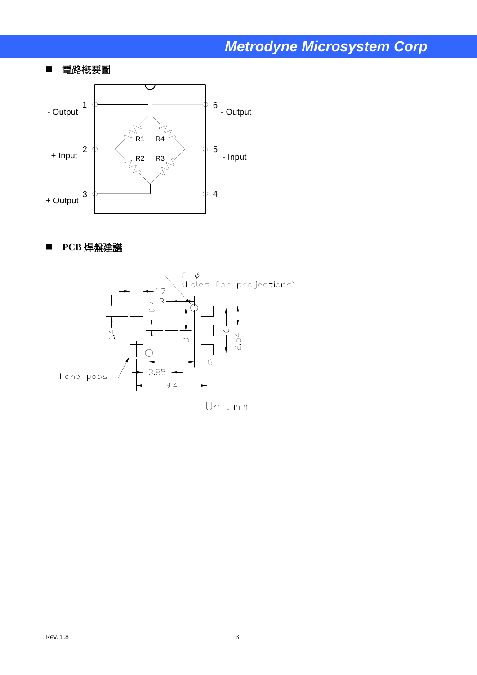# *Metrodyne Microsystem Corp*

### ■ 電路概要圖



### ■ PCB 焊盤建議



Rev.  $1.8$  3